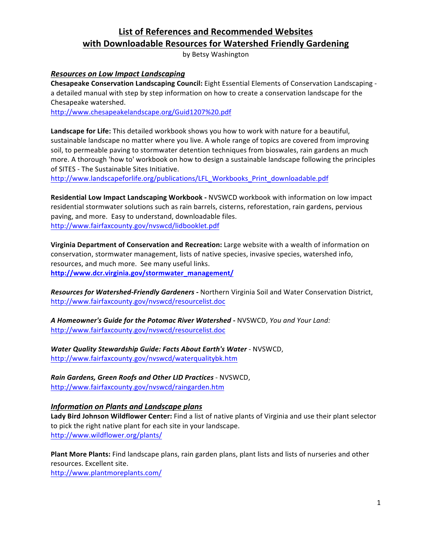by Betsy Washington

### *Resources on Low Impact Landscaping*

**Chesapeake Conservation Landscaping Council:** Eight Essential Elements of Conservation Landscaping a detailed manual with step by step information on how to create a conservation landscape for the Chesapeake watershed.

http://www.chesapeakelandscape.org/Guid1207%20.pdf

Landscape for Life: This detailed workbook shows you how to work with nature for a beautiful, sustainable landscape no matter where you live. A whole range of topics are covered from improving soil, to permeable paving to stormwater detention techniques from bioswales, rain gardens an much more. A thorough 'how to' workbook on how to design a sustainable landscape following the principles of SITES - The Sustainable Sites Initiative.

http://www.landscapeforlife.org/publications/LFL\_Workbooks\_Print\_downloadable.pdf

**Residential Low Impact Landscaping Workbook - NVSWCD workbook with information on low impact** residential stormwater solutions such as rain barrels, cisterns, reforestation, rain gardens, pervious paving, and more. Easy to understand, downloadable files. http://www.fairfaxcounty.gov/nvswcd/lidbooklet.pdf

**Virginia Department of Conservation and Recreation:** Large website with a wealth of information on conservation, stormwater management, lists of native species, invasive species, watershed info, resources, and much more. See many useful links. **http://www.dcr.virginia.gov/stormwater\_management/**

Resources for Watershed-Friendly Gardeners - Northern Virginia Soil and Water Conservation District, http://www.fairfaxcounty.gov/nvswcd/resourcelist.doc

A Homeowner's Guide for the Potomac River Watershed - NVSWCD, You and Your Land: http://www.fairfaxcounty.gov/nvswcd/resourcelist.doc

*Water Quality Stewardship Guide: Facts About Earth's Water* - NVSWCD, http://www.fairfaxcounty.gov/nvswcd/waterqualitybk.htm

*Rain Gardens, Green Roofs and Other LID Practices* - NVSWCD, http://www.fairfaxcounty.gov/nvswcd/raingarden.htm

#### **Information on Plants and Landscape plans**

Lady Bird Johnson Wildflower Center: Find a list of native plants of Virginia and use their plant selector to pick the right native plant for each site in your landscape. http://www.wildflower.org/plants/

**Plant More Plants:** Find landscape plans, rain garden plans, plant lists and lists of nurseries and other resources. Excellent site.

http://www.plantmoreplants.com/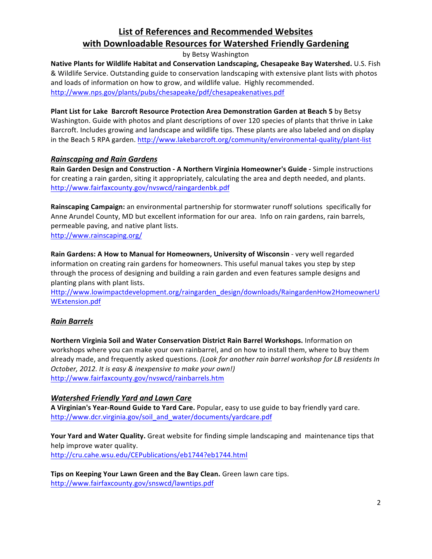by Betsy Washington

**Native Plants for Wildlife Habitat and Conservation Landscaping, Chesapeake Bay Watershed.** U.S. Fish & Wildlife Service. Outstanding guide to conservation landscaping with extensive plant lists with photos and loads of information on how to grow, and wildlife value. Highly recommended. http://www.nps.gov/plants/pubs/chesapeake/pdf/chesapeakenatives.pdf

Plant List for Lake Barcroft Resource Protection Area Demonstration Garden at Beach 5 by Betsy Washington. Guide with photos and plant descriptions of over 120 species of plants that thrive in Lake Barcroft. Includes growing and landscape and wildlife tips. These plants are also labeled and on display in the Beach 5 RPA garden. http://www.lakebarcroft.org/community/environmental-quality/plant-list

### *Rainscaping and Rain Gardens*

Rain Garden Design and Construction - A Northern Virginia Homeowner's Guide - Simple instructions for creating a rain garden, siting it appropriately, calculating the area and depth needed, and plants. http://www.fairfaxcounty.gov/nvswcd/raingardenbk.pdf

**Rainscaping Campaign:** an environmental partnership for stormwater runoff solutions specifically for Anne Arundel County, MD but excellent information for our area. Info on rain gardens, rain barrels, permeable paving, and native plant lists. http://www.rainscaping.org/

**Rain Gardens: A How to Manual for Homeowners, University of Wisconsin - very well regarded** information on creating rain gardens for homeowners. This useful manual takes you step by step through the process of designing and building a rain garden and even features sample designs and planting plans with plant lists.

Http://www.lowimpactdevelopment.org/raingarden\_design/downloads/RaingardenHow2HomeownerU WExtension.pdf

## *Rain Barrels*

**Northern Virginia Soil and Water Conservation District Rain Barrel Workshops.** Information on workshops where you can make your own rainbarrel, and on how to install them, where to buy them already made, and frequently asked questions. *(Look for another rain barrel workshop for LB residents In October, 2012. It is easy & inexpensive to make your own!)* http://www.fairfaxcounty.gov/nvswcd/rainbarrels.htm

## *Watershed Friendly Yard and Lawn Care*

A Virginian's Year-Round Guide to Yard Care. Popular, easy to use guide to bay friendly yard care. http://www.dcr.virginia.gov/soil\_and\_water/documents/yardcare.pdf

**Your Yard and Water Quality.** Great website for finding simple landscaping and maintenance tips that help improve water quality. http://cru.cahe.wsu.edu/CEPublications/eb1744?eb1744.html

Tips on Keeping Your Lawn Green and the Bay Clean. Green lawn care tips. http://www.fairfaxcounty.gov/snswcd/lawntips.pdf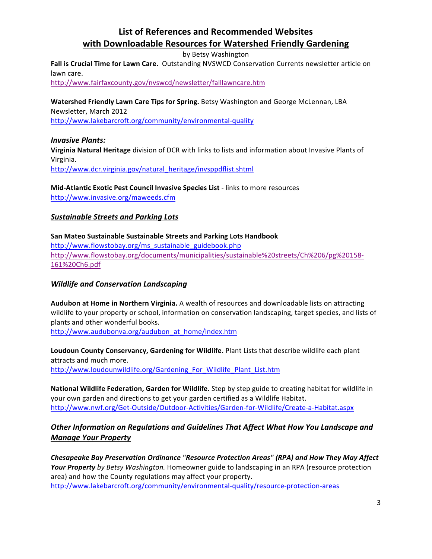by Betsy Washington

Fall is Crucial Time for Lawn Care. Outstanding NVSWCD Conservation Currents newsletter article on lawn care.

http://www.fairfaxcounty.gov/nvswcd/newsletter/falllawncare.htm

### **Watershed Friendly Lawn Care Tips for Spring.** Betsy Washington and George McLennan, LBA

Newsletter, March 2012 http://www.lakebarcroft.org/community/environmental-quality

### *Invasive Plants:*

**Virginia Natural Heritage** division of DCR with links to lists and information about Invasive Plants of Virginia.

http://www.dcr.virginia.gov/natural\_heritage/invsppdflist.shtml

**Mid-Atlantic Exotic Pest Council Invasive Species List - links to more resources** http://www.invasive.org/maweeds.cfm

### *Sustainable Streets and Parking Lots*

**San Mateo Sustainable Sustainable Streets and Parking Lots Handbook** http://www.flowstobay.org/ms\_sustainable\_guidebook.php http://www.flowstobay.org/documents/municipalities/sustainable%20streets/Ch%206/pg%20158- 161%20Ch6.pdf

### **Wildlife and Conservation Landscaping**

**Audubon at Home in Northern Virginia.** A wealth of resources and downloadable lists on attracting wildlife to your property or school, information on conservation landscaping, target species, and lists of plants and other wonderful books.

http://www.audubonva.org/audubon\_at\_home/index.htm

Loudoun County Conservancy, Gardening for Wildlife. Plant Lists that describe wildlife each plant attracts and much more. http://www.loudounwildlife.org/Gardening\_For\_Wildlife\_Plant\_List.htm

**National Wildlife Federation, Garden for Wildlife.** Step by step guide to creating habitat for wildlife in your own garden and directions to get your garden certified as a Wildlife Habitat. http://www.nwf.org/Get-Outside/Outdoor-Activities/Garden-for-Wildlife/Create-a-Habitat.aspx

## Other Information on Regulations and Guidelines That Affect What How You Landscape and *Manage Your Property*

Chesapeake Bay Preservation Ordinance "Resource Protection Areas" (RPA) and How They May Affect *Your Property by Betsy Washington.* Homeowner guide to landscaping in an RPA (resource protection area) and how the County regulations may affect your property. http://www.lakebarcroft.org/community/environmental-quality/resource-protection-areas